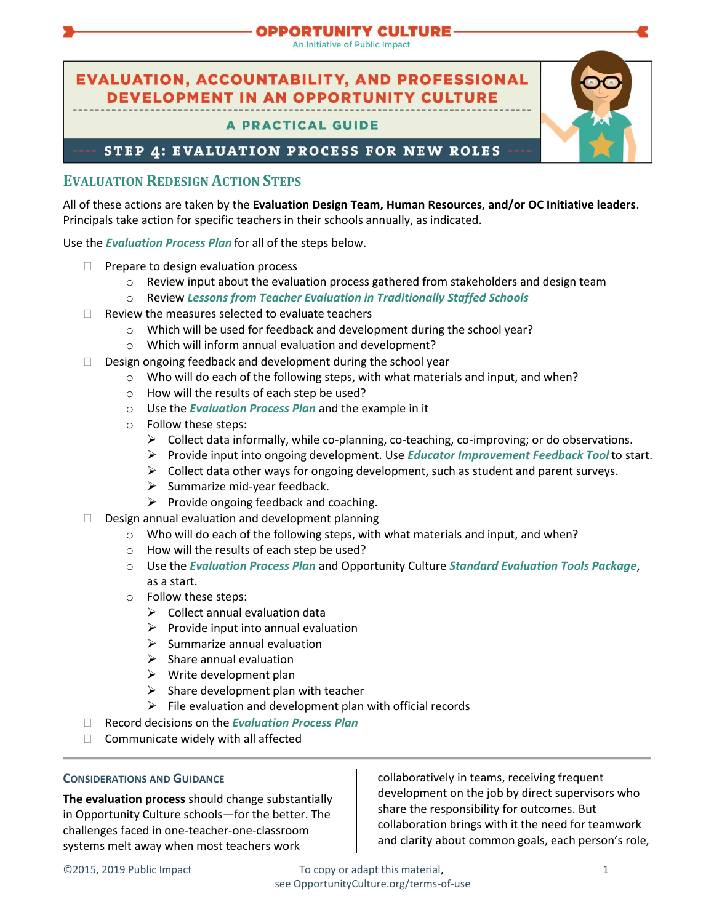## **PPORTUNITY CULTURE-**

An Initiative of Public Impact

# **EVALUATION, ACCOUNTABILITY, AND PROFESSIONAL DEVELOPMENT IN AN OPPORTUNITY CULTURE**

## **A PRACTICAL GUIDE**

STEP 4: EVALUATION PROCESS FOR NEW ROLES

## **EVALUATION REDESIGN ACTION STEPS**

All of these actions are taken by the **Evaluation Design Team, Human Resources, and/or OC Initiative leaders**. Principals take action for specific teachers in their schools annually, as indicated.

Use the *[Evaluation Process Plan](https://opportunityculture.org/wp-content/uploads/2015/08/Eval_Process_Plan.docx)* for all of the steps below.

- $\Box$  Prepare to design evaluation process
	- $\circ$  Review input about the evaluation process gathered from stakeholders and design team
	- o Review *Lessons [from Teacher Evaluation in Traditionally Staffed Schools](https://opportunityculture.org/wp-content/uploads/2015/08/Lessons_from_Teacher_Eval_in_Trad_Staffed_Schools.docx)*
- $\Box$  Review the measures selected to evaluate teachers
	- o Which will be used for feedback and development during the school year?
	- o Which will inform annual evaluation and development?
- $\Box$  Design ongoing feedback and development during the school year
	- o Who will do each of the following steps, with what materials and input, and when?
	- o How will the results of each step be used?
	- o Use the *[Evaluation Process Plan](https://opportunityculture.org/wp-content/uploads/2015/08/Eval_Process_Plan.docx)* and the example in it
	- o Follow these steps:
		- $\triangleright$  Collect data informally, while co-planning, co-teaching, co-improving; or do observations.
		- ➢ Provide input into ongoing development. Use *[Educator Improvement Feedback Tool](https://opportunityculture.org/wp-content/uploads/2015/08/Educator_Improvement_Feedback_Tool.docx)* to start.
		- $\triangleright$  Collect data other ways for ongoing development, such as student and parent surveys.
		- $\triangleright$  Summarize mid-year feedback.
	- $\triangleright$  Provide ongoing feedback and coaching.
- $\square$  Design annual evaluation and development planning
	- $\circ$  Who will do each of the following steps, with what materials and input, and when?
		- o How will the results of each step be used?
		- o Use the *[Evaluation Process Plan](https://opportunityculture.org/wp-content/uploads/2015/08/Eval_Process_Plan.docx)* and Opportunity Culture *[Standard Evaluation Tools Package](https://opportunityculture.org/wp-content/uploads/2015/08/Standard_Eval_Tools_Package.docx)*, as a start.
		- o Follow these steps:
			- $\triangleright$  Collect annual evaluation data
			- $\triangleright$  Provide input into annual evaluation
			- $\triangleright$  Summarize annual evaluation
			- $\triangleright$  Share annual evaluation
			- $\triangleright$  Write development plan
			- $\triangleright$  Share development plan with teacher
			- $\triangleright$  File evaluation and development plan with official records
- Record decisions on the *[Evaluation Process Plan](https://opportunityculture.org/wp-content/uploads/2015/08/Eval_Process_Plan.docx)*
- $\Box$  Communicate widely with all affected

### **CONSIDERATIONS AND GUIDANCE**

**The evaluation process** should change substantially in Opportunity Culture schools—for the better. The challenges faced in one-teacher-one-classroom systems melt away when most teachers work

collaboratively in teams, receiving frequent development on the job by direct supervisors who share the responsibility for outcomes. But collaboration brings with it the need for teamwork and clarity about common goals, each person's role,

©2015, 2019 Public Impact To copy or adapt this material, 1 see OpportunityCulture.org/terms-of-use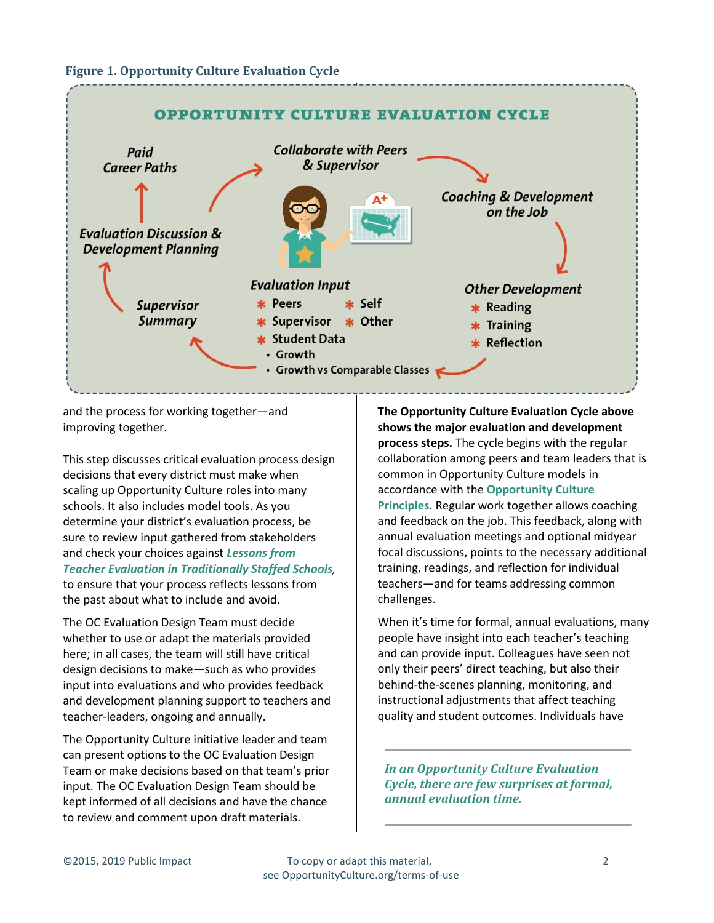#### **Figure 1. Opportunity Culture Evaluation Cycle**



and the process for working together—and improving together.

This step discusses critical evaluation process design decisions that every district must make when scaling up Opportunity Culture roles into many schools. It also includes model tools. As you determine your district's evaluation process, be sure to review input gathered from stakeholders and check your choices against *[Lessons from](https://opportunityculture.org/wp-content/uploads/2015/08/Lessons_from_Teacher_Eval_in_Trad_Staffed_Schools.docx)  [Teacher Evaluation in Traditionally Staffed Schools](https://opportunityculture.org/wp-content/uploads/2015/08/Lessons_from_Teacher_Eval_in_Trad_Staffed_Schools.docx),* to ensure that your process reflects lessons from the past about what to include and avoid.

The OC Evaluation Design Team must decide whether to use or adapt the materials provided here; in all cases, the team will still have critical design decisions to make—such as who provides input into evaluations and who provides feedback and development planning support to teachers and teacher-leaders, ongoing and annually.

The Opportunity Culture initiative leader and team can present options to the OC Evaluation Design Team or make decisions based on that team's prior input. The OC Evaluation Design Team should be kept informed of all decisions and have the chance to review and comment upon draft materials.

**The Opportunity Culture Evaluation Cycle above shows the major evaluation and development process steps.** The cycle begins with the regular collaboration among peers and team leaders that is common in Opportunity Culture models in accordance with the **[Opportunity Culture](https://opportunityculture.org/the-opportunity-culture-principles/)  [Principles](https://opportunityculture.org/the-opportunity-culture-principles/)**. Regular work together allows coaching and feedback on the job. This feedback, along with annual evaluation meetings and optional midyear focal discussions, points to the necessary additional training, readings, and reflection for individual teachers—and for teams addressing common challenges.

When it's time for formal, annual evaluations, many people have insight into each teacher's teaching and can provide input. Colleagues have seen not only their peers' direct teaching, but also their behind-the-scenes planning, monitoring, and instructional adjustments that affect teaching quality and student outcomes. Individuals have

*In an Opportunity Culture Evaluation Cycle, there are few surprises at formal, annual evaluation time.*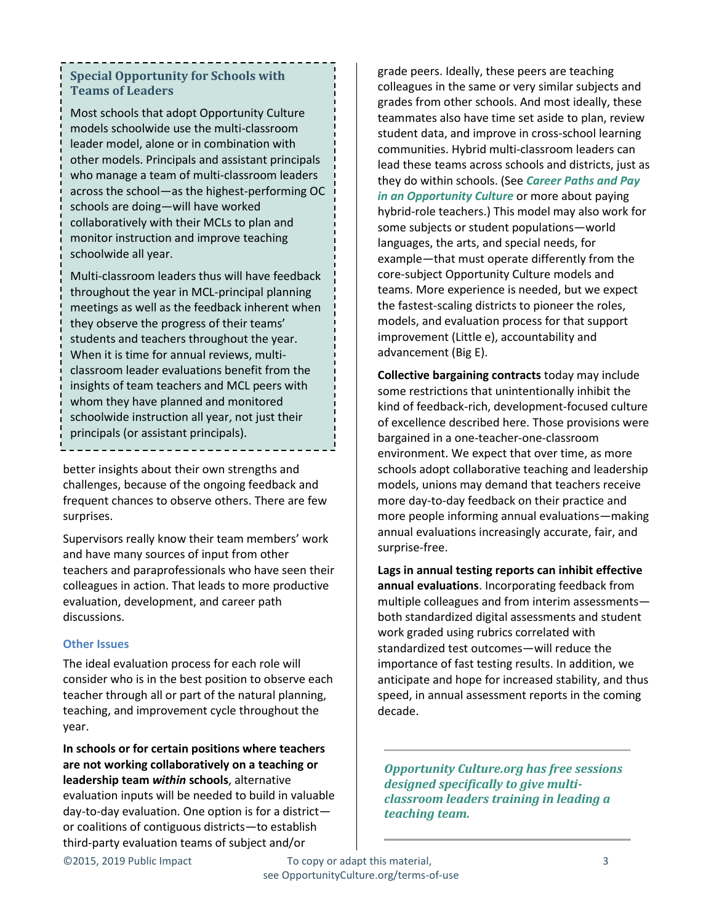## **Special Opportunity for Schools with Teams of Leaders**

Most schools that adopt Opportunity Culture models schoolwide use the multi-classroom leader model, alone or in combination with other models. Principals and assistant principals who manage a team of multi-classroom leaders across the school—as the highest-performing OC schools are doing—will have worked collaboratively with their MCLs to plan and monitor instruction and improve teaching schoolwide all year.

Multi-classroom leaders thus will have feedback throughout the year in MCL-principal planning meetings as well as the feedback inherent when they observe the progress of their teams' students and teachers throughout the year. When it is time for annual reviews, multiclassroom leader evaluations benefit from the insights of team teachers and MCL peers with whom they have planned and monitored schoolwide instruction all year, not just their principals (or assistant principals).

better insights about their own strengths and challenges, because of the ongoing feedback and frequent chances to observe others. There are few surprises.

Supervisors really know their team members' work and have many sources of input from other teachers and paraprofessionals who have seen their colleagues in action. That leads to more productive evaluation, development, and career path discussions.

### **Other Issues**

The ideal evaluation process for each role will consider who is in the best position to observe each teacher through all or part of the natural planning, teaching, and improvement cycle throughout the year.

**In schools or for certain positions where teachers are not working collaboratively on a teaching or leadership team** *within* **schools**, alternative evaluation inputs will be needed to build in valuable day-to-day evaluation. One option is for a district or coalitions of contiguous districts—to establish third-party evaluation teams of subject and/or

grade peers. Ideally, these peers are teaching colleagues in the same or very similar subjects and grades from other schools. And most ideally, these teammates also have time set aside to plan, review student data, and improve in cross-school learning communities. Hybrid multi-classroom leaders can lead these teams across schools and districts, just as they do within schools. (See *[Career Paths and Pay](https://opportunityculture.org/wp-content/uploads/2018/06/Career_Paths_and_Pay_in_an_Opportunity_Culture_A_Practical_Guide-Public_Impact.pdf)  [in an Opportunity Culture](https://opportunityculture.org/wp-content/uploads/2018/06/Career_Paths_and_Pay_in_an_Opportunity_Culture_A_Practical_Guide-Public_Impact.pdf)* or more about paying hybrid-role teachers.) This model may also work for some subjects or student populations—world languages, the arts, and special needs, for example—that must operate differently from the core-subject Opportunity Culture models and teams. More experience is needed, but we expect the fastest-scaling districts to pioneer the roles, models, and evaluation process for that support improvement (Little e), accountability and advancement (Big E).

**Collective bargaining contracts** today may include some restrictions that unintentionally inhibit the kind of feedback-rich, development-focused culture of excellence described here. Those provisions were bargained in a one-teacher-one-classroom environment. We expect that over time, as more schools adopt collaborative teaching and leadership models, unions may demand that teachers receive more day-to-day feedback on their practice and more people informing annual evaluations—making annual evaluations increasingly accurate, fair, and surprise-free.

**Lags in annual testing reports can inhibit effective annual evaluations**. Incorporating feedback from multiple colleagues and from interim assessments both standardized digital assessments and student work graded using rubrics correlated with standardized test outcomes—will reduce the importance of fast testing results. In addition, we anticipate and hope for increased stability, and thus speed, in annual assessment reports in the coming decade.

*Opportunity Culture.org has free sessions designed specifically to give multiclassroom leaders training in leading a teaching team.*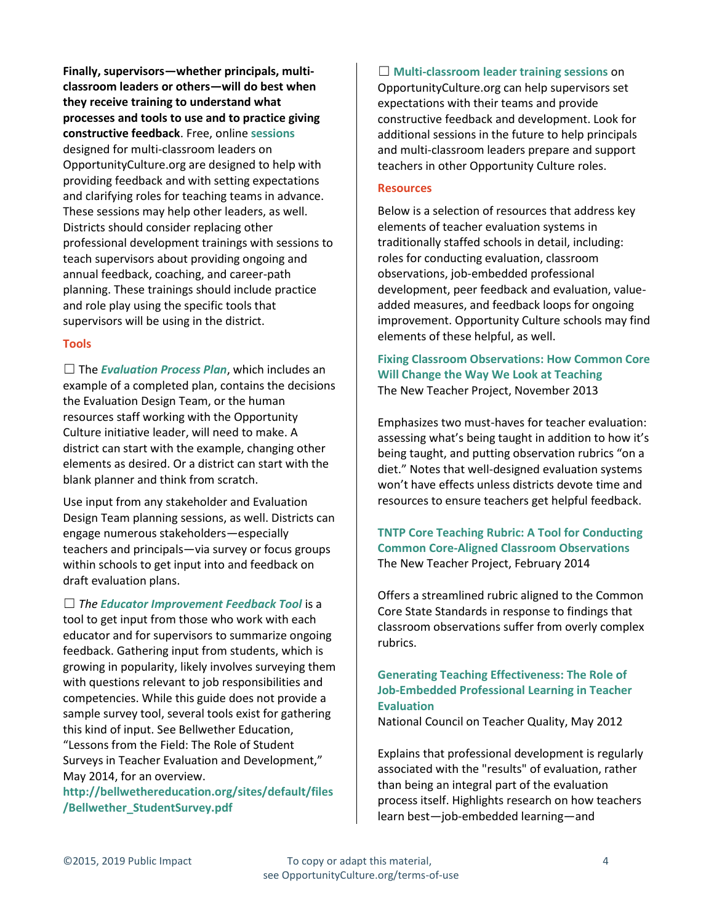**Finally, supervisors—whether principals, multiclassroom leaders or others—will do best when they receive training to understand what processes and tools to use and to practice giving constructive feedback**. Free, online **[sessions](https://opportunityculture.org/multi-classroom-leader-training-sessions/)** designed for multi-classroom leaders on OpportunityCulture.org are designed to help with providing feedback and with setting expectations and clarifying roles for teaching teams in advance. These sessions may help other leaders, as well. Districts should consider replacing other professional development trainings with sessions to teach supervisors about providing ongoing and annual feedback, coaching, and career-path planning. These trainings should include practice and role play using the specific tools that supervisors will be using in the district.

#### **Tools**

☐ The *[Evaluation Process Plan](https://opportunityculture.org/wp-content/uploads/2015/08/Eval_Process_Plan.docx)*, which includes an example of a completed plan, contains the decisions the Evaluation Design Team, or the human resources staff working with the Opportunity Culture initiative leader, will need to make. A district can start with the example, changing other elements as desired. Or a district can start with the blank planner and think from scratch.

Use input from any stakeholder and Evaluation Design Team planning sessions, as well. Districts can engage numerous stakeholders—especially teachers and principals—via survey or focus groups within schools to get input into and feedback on draft evaluation plans.

☐ *The [Educator Improvement Feedback Tool](https://opportunityculture.org/wp-content/uploads/2015/08/Educator_Improvement_Feedback_Tool.docx)* is a tool to get input from those who work with each educator and for supervisors to summarize ongoing feedback. Gathering input from students, which is growing in popularity, likely involves surveying them with questions relevant to job responsibilities and competencies. While this guide does not provide a sample survey tool, several tools exist for gathering this kind of input. See Bellwether Education, "Lessons from the Field: The Role of Student Surveys in Teacher Evaluation and Development," May 2014, for an overview.

**[http://bellwethereducation.org/sites/default/files](http://bellwethereducation.org/sites/default/files/Bellwether_StudentSurvey.pdf) [/Bellwether\\_StudentSurvey.pdf](http://bellwethereducation.org/sites/default/files/Bellwether_StudentSurvey.pdf)**

☐ **[Multi-classroom leader training sessions](https://opportunityculture.org/multi-classroom-leader-training-sessions/)** on OpportunityCulture.org can help supervisors set expectations with their teams and provide constructive feedback and development. Look for additional sessions in the future to help principals and multi-classroom leaders prepare and support teachers in other Opportunity Culture roles.

#### **Resources**

Below is a selection of resources that address key elements of teacher evaluation systems in traditionally staffed schools in detail, including: roles for conducting evaluation, classroom observations, job-embedded professional development, peer feedback and evaluation, valueadded measures, and feedback loops for ongoing improvement. Opportunity Culture schools may find elements of these helpful, as well.

### **[Fixing Classroom Observations: How Common Core](http://tntp.org/publications/view/evaluation-and-development/fixing-classroom-observations-how-common-core-will-change-teaching)  [Will Change the Way We Look at Teaching](http://tntp.org/publications/view/evaluation-and-development/fixing-classroom-observations-how-common-core-will-change-teaching)** The New Teacher Project, November 2013

Emphasizes two must-haves for teacher evaluation: assessing what's being taught in addition to how it's being taught, and putting observation rubrics "on a diet." Notes that well-designed evaluation systems won't have effects unless districts devote time and resources to ensure teachers get helpful feedback.

**[TNTP Core Teaching Rubric: A Tool for Conducting](http://tntp.org/publications/view/evaluation-and-development/tntp-core-teaching-rubric-a-tool-for-conducting-classroom-observations)  [Common Core-Aligned Classroom Observations](http://tntp.org/publications/view/evaluation-and-development/tntp-core-teaching-rubric-a-tool-for-conducting-classroom-observations)** The New Teacher Project, February 2014

Offers a streamlined rubric aligned to the Common Core State Standards in response to findings that classroom observations suffer from overly complex rubrics.

### **[Generating Teaching Effectiveness: The Role of](http://files.eric.ed.gov/fulltext/ED532776.pdf)  [Job-Embedded Professional Learning in Teacher](http://files.eric.ed.gov/fulltext/ED532776.pdf)  [Evaluation](http://files.eric.ed.gov/fulltext/ED532776.pdf)**

National Council on Teacher Quality, May 2012

Explains that professional development is regularly associated with the "results" of evaluation, rather than being an integral part of the evaluation process itself. Highlights research on how teachers learn best—job-embedded learning—and